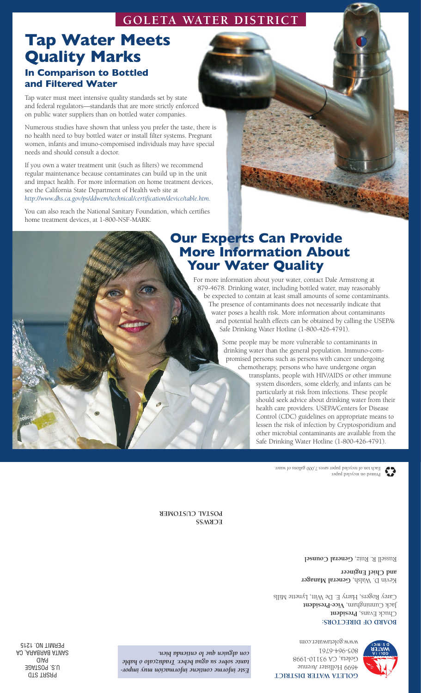### **Goleta Water District**

## **Tap Water Meets Quality Marks In Comparison to Bottled and Filtered Water**

Tap water must meet intensive quality standards set by state and federal regulators—standards that are more strictly enforced on public water suppliers than on bottled water companies.

Numerous studies have shown that unless you prefer the taste, there is no health need to buy bottled water or install filter systems. Pregnant women, infants and imuno-compomised individuals may have special needs and should consult a doctor.

If you own a water treatment unit (such as filters) we recommend regular maintenance because contaminates can build up in the unit and impact health. For more information on home treatment devices, see the California State Department of Health web site at *http://www.dhs.ca.gov/ps/ddwem/technical/certification/device/table.htm.*

You can also reach the National Sanitary Foundation, which certifies home treatment devices, at 1-800-NSF-MARK.

## **Our Experts Can Provide More Information About Your Water Quality**

For more information about your water, contact Dale Armstrong at 879-4678. Drinking water, including bottled water, may reasonably be expected to contain at least small amounts of some contaminants. The presence of contaminants does not necessarily indicate that water poses a health risk. More information about contaminants and potential health effects can be obtained by calling the USEPA's Safe Drinking Water Hotline (1-800-426-4791).

> Some people may be more vulnerable to contaminants in drinking water than the general population. Immuno-compromised persons such as persons with cancer undergoing chemotherapy, persons who have undergone organ

transplants, people with HIV/AIDS or other immune system disorders, some elderly, and infants can be particularly at risk from infections. These people should seek advice about drinking water from their health care providers. USEPA/Centers for Disease Control (CDC) guidelines on appropriate means to lessen the risk of infection by Cryptosporidium and other microbial contaminants are available from the Safe Drinking Water Hotline (1-800-426-4791).

> Printed on recycled paper. Each ton of recycled paper saves 7,000 gallons of water.

**ECRM22 DOSTAL CUSTOMER** 

**Russell R. Ruiz, General Counsel** 

**Kevin D. Walsh, General Manager ngineer E hief C and** 

Chuck Evans, President Jack Cunningham, Vice-President Carey Rogers, Harry E. De Witt, Lynette Mills

**BOVKD OF DIKECTORS:** 



4699 Hollister Avenue Goleta, CA 93110-1998 805-964-6761 www.goletawater.com

**ISTRICT D ATER W OLETA G**

*- Este informe contiene información muy impor tante sobre su agua beber. Tradúzcalo ó hable con alguien que lo entienda bien.*

PRSRT STD U.S. POSTAGE PAID SANTA BARBARA, CA PERMIT NO. 1215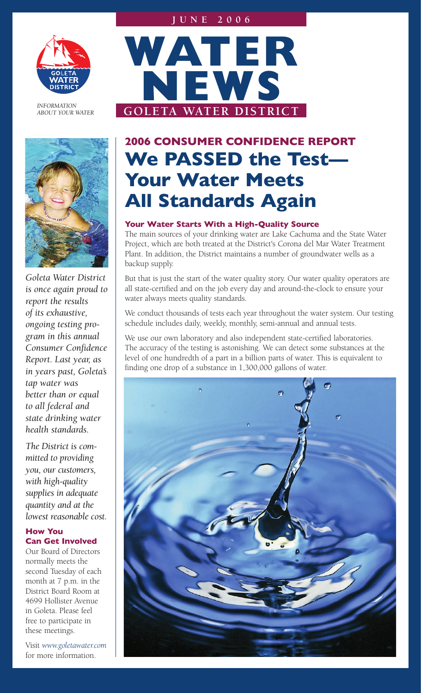

*INFORMATION ABOUT YOUR WATER*



*Goleta Water District is once again proud to report the results of its exhaustive, ongoing testing program in this annual Consumer Confidence Report. Last year, as in years past, Goleta's tap water was better than or equal to all federal and state drinking water health standards.*

*The District is committed to providing you, our customers, with high-quality supplies in adequate quantity and at the lowest reasonable cost.*

### **How You Can Get Involved**

Our Board of Directors normally meets the second Tuesday of each month at 7 p.m. in the District Board Room at 4699 Hollister Avenue in Goleta. Please feel free to participate in these meetings.

Visit *www.goletawater.com* for more information.



# **2006 CONSUMER CONFIDENCE REPORT We PASSED the Test— Your Water Meets All Standards Again**

### **Your Water Starts With a High-Quality Source**

The main sources of your drinking water are Lake Cachuma and the State Water Project, which are both treated at the District's Corona del Mar Water Treatment Plant. In addition, the District maintains a number of groundwater wells as a backup supply.

But that is just the start of the water quality story. Our water quality operators are all state-certified and on the job every day and around-the-clock to ensure your water always meets quality standards.

We conduct thousands of tests each year throughout the water system. Our testing schedule includes daily, weekly, monthly, semi-annual and annual tests.

We use our own laboratory and also independent state-certified laboratories. The accuracy of the testing is astonishing. We can detect some substances at the level of one hundredth of a part in a billion parts of water. This is equivalent to finding one drop of a substance in 1,300,000 gallons of water.

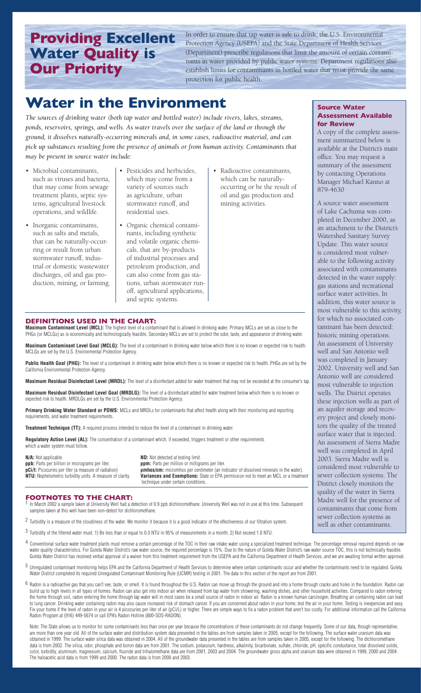## **Providing Excellent Water Quality is Our Priority**

In order to ensure that tap water is safe to drink, the U.S. Environmental Protection Agency (USEPA) and the State Department of Health Services (Department) prescribe regulations that limit the amount of certain contaminants in water provided by public water systems. Department regulations also establish limits for contaminants in bottled water that must provide the same protection for public health.

## **Water in the Environment**

*The sources of drinking water (both tap water and bottled water) include rivers, lakes, streams, ponds, reservoirs, springs, and wells. As water travels over the surface of the land or through the ground, it dissolves naturally-occurring minerals and, in some cases, radioactive material, and can pick up substances resulting from the presence of animals or from human activity. Contaminants that may be present in source water include:*

- Microbial contaminants, such as viruses and bacteria, that may come from sewage treatment plants, septic systems, agricultural livestock operations, and wildlife.
- Inorganic contaminants, such as salts and metals, that can be naturally-occurring or result from urban stormwater runoff, industrial or domestic wastewater discharges, oil and gas production, mining, or farming.
- Pesticides and herbicides, which may come from a variety of sources such as agriculture, urban stormwater runoff, and residential uses.
- Organic chemical contaminants, including synthetic and volatile organic chemicals, that are by-products of industrial processes and petroleum production, and can also come from gas stations, urban stormwater runoff, agricultural applications, and septic systems.
- Radioactive contaminants, which can be naturallyoccurring or be the result of oil and gas production and mining activities.

#### **DEFINITIONS USED IN THE CHART:**

**Maximum Contaminant Level (MCL):** The highest level of a contaminant that is allowed in drinking water. Primary MCLs are set as close to the PHGs (or MCLGs) as is economically and technologically feasible. Secondary MCLs are set to protect the odor, taste, and appearance of drinking water.

**Maximum Contaminant Level Goal (MCLG):** The level of a contaminant in drinking water below which there is no known or expected risk to health. MCLGs are set by the U.S. Environmental Protection Agency.

**Public Health Goal (PHG):** The level of a contaminant in drinking water below which there is no known or expected risk to health. PHGs are set by the California Environmental Protection Agency.

**Maximum Residual Disinfectant Level (MRDL):** The level of a disinfectant added for water treatment that may not be exceeded at the consumer's tap.

**Maximum Residual Disinfectant Level Goal (MRDLG):** The level of a disinfectant added for water treatment below which there is no known or expected risk to health. MRDLGs are set by the U.S. Environmental Protection Agency.

**Primary Drinking Water Standard or PDWS:** MCLs and MRDLs for contaminants that affect health along with their monitoring and reporting requirements, and water treatment requirements.

**Treatment Technique (TT):** A required process intended to reduce the level of a contaminant in drinking water.

**Regulatory Action Level (AL):** The concentration of a contaminant which, if exceeded, triggers treatment or other requirements which a water system must follow.

**N/A:** Not applicable.<br> **ppb:** Parts per billion or micrograms per liter.<br> **ppm:** Parts per million or milligi

**ppm:** Parts per million or milligrams per liter. **pCi/l:** Picocuries per liter (a measure of radiation) **µmhos/cm:** micromhos per centimeter (an indicator of dissolved minerals in the water). **Variances and Exemptions:** State or EPA permission not to meet an MCL or a treatment technique under certain conditions.

#### **FOOTNOTES TO THE CHART:**

 $1$  In March 2002 a sample taken at University Well had a detection of 0.9 ppb dichloromethane. University Well was not in use at this time. Subsequent samples taken at this well have been non-detect for dichloromethane.

- $2$  Turbidity is a measure of the cloudiness of the water. We monitor it because it is a good indicator of the effectiveness of our filtration system.
- 3 Turbidity of the filtered water must: 1) Be less than or equal to 0.3 NTU in 95% of measurements in a month; 2) Not exceed 1.0 NTU.
- Conventional surface water treatment plants must remove a certain percentage of the TOC in their raw intake water using a specialized treatment technique. The percentage removal required depends on raw water quality characteristics. For Goleta Water District's raw water source, the required percentage is 15%. Due to the nature of Goleta Water District's raw water source TOC, this is not technically feasible. Goleta Water District has received verbal approval of a waiver from this treatment requirement from the USEPA and the California Department of Health Services, and we are awaiting formal written approval.
- 5 Unregulated contaminant monitoring helps EPA and the California Department of Health Services to determine where certain contaminants occur and whether the contaminants need to be regulated. Goleta Water District completed its required Unregulated Contaminant Monitoring Rule (UCMR) testing in 2001. The data in this section of the report are from 2001.
- $6$  Radon is a radioactive gas that you can't see, taste, or smell. It is found throughout the U.S. Radon can move up through the ground and into a home through cracks and holes in the foundation. Radon can build up to high levels in all types of homes. Radon can also get into indoor air when released from tap water from showering, washing dishes, and other household activities. Compared to radon entering the home through soil, radon entering the home through tap water will in most cases be a small source of radon in indoor air. Radon is a known human carcinogen. Breathing air containing radon can lead to lung cancer. Drinking water containing radon may also cause increased risk of stomach cancer. If you are concerned about radon in your home, test the air in your home. Testing is inexpensive and easy. Fix your home if the level of radon in your air is 4 picocuries per liter of air (pCi/L) or higher. There are simple ways to fix a radon problem that aren't too costly. For additional information call the California Radon Program at (916) 449-5674 or call EPA's Radon Hotline (800-SOS-RADON).

Note: The State allows us to monitor for some contaminants less than once per year because the concentrations of these contaminants do not change frequently. Some of our data, though representative, are more than one year old. All of the surface water and distribution system data presented in the tables are from samples taken in 2005, except for the following. The surface water uranium data was are from samples taken obtained in 1999. The surface water silica data was obtained in 2004. All of the groundwater data presented in the tables are from samples taken in 2005, except for the following. The dichloromethane data is from 2002. The silica, odor, phosphate and boron data are from 2001. The sodium, potassium, hardness, alkalinity, bicarbonate, sulfate, chloride, pH, specific conductance, total dissolved solids, color, turbidity, aluminum, magnesium, calcium, fluoride and trihalomethane data are from 2001, 2003 and 2004. The groundwater gross alpha and uranium data were obtained in 1999, 2000 and 2004. The haloacetic acid data is from 1999 and 2000. The radon data is from 2000 and 2003.

#### **Source Water Assessment Available for Review**

A copy of the complete assessment summarized below is available at the District's main office. You may request a summary of the assessment by contacting Operations Manager Michael Kanno at 879-4630

A source water assessment of Lake Cachuma was completed in December 2000, as an attachment to the District's Watershed Sanitary Survey Update. This water source is considered most vulnerable to the following activity associated with contaminants detected in the water supply: gas stations and recreational surface water activities. In addition, this water source is most vulnerable to this activity, for which no associated contaminant has been detected: historic mining operations. An assessment of University well and San Antonio well was completed in January 2002. University well and San Antonio well are considered most vulnerable to injection wells. The District operates these injection wells as part of an aquifer storage and recovery project and closely monitors the quality of the treated surface water that is injected. An assessment of Sierra Madre well was completed in April 2003. Sierra Madre well is considered most vulnerable to sewer collection systems. The District closely monitors the quality of the water in Sierra Madre well for the presence of contaminants that come from sewer collection systems as well as other contaminants.